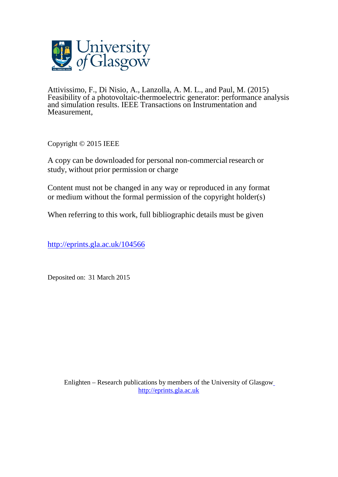

Attivissimo, F., Di Nisio, A., Lanzolla, A. M. L., and Paul, M. (2015) Feasibility of a photovoltaic-thermoelectric generator: performance analysis and simulation results. IEEE Transactions on Instrumentation and Measurement,

Copyright © 2015 IEEE

A copy can be downloaded for personal non-commercial research or study, without prior permission or charge

Content must not be changed in any way or reproduced in any format or medium without the formal permission of the copyright holder(s)

When referring to this work, full bibliographic details must be given

<http://eprints.gla.ac.uk/104566>

Deposited on: 31 March 2015

Enlighten – Research publications by members of the University of Glasgo[w](http://eprints.gla.ac.uk/) [http://eprints.gla.ac.uk](http://eprints.gla.ac.uk/)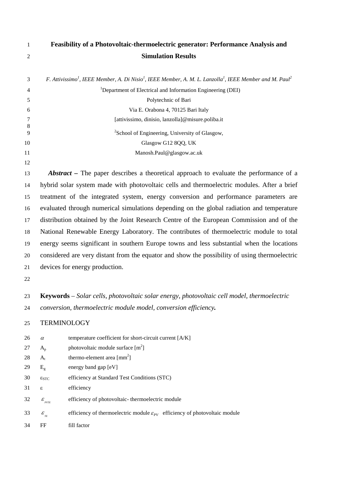| Feasibili |
|-----------|
|           |

# **Feasibility of a Photovoltaic-thermoelectric generator: Performance Analysis and Simulation Results**

|                | F. Attivissimo <sup>1</sup> , IEEE Member, A. Di Nisio <sup>1</sup> , IEEE Member, A. M. L. Lanzolla <sup>1</sup> , IEEE Member and M. Paul <sup>2</sup> |
|----------------|----------------------------------------------------------------------------------------------------------------------------------------------------------|
| $\overline{4}$ | <sup>1</sup> Department of Electrical and Information Engineering (DEI)                                                                                  |
|                | Polytechnic of Bari                                                                                                                                      |
| 6              | Via E. Orabona 4, 70125 Bari Italy                                                                                                                       |
| -8             | [attivissimo, dinisio, lanzolla]@misure.poliba.it                                                                                                        |
| $\mathbf{Q}$   | <sup>2</sup> School of Engineering, University of Glasgow,                                                                                               |
| 10             | Glasgow G12 8QQ, UK                                                                                                                                      |
| 11             | Manosh.Paul@glasgow.ac.uk                                                                                                                                |

*Abstract* – The paper describes a theoretical approach to evaluate the performance of a hybrid solar system made with photovoltaic cells and thermoelectric modules. After a brief treatment of the integrated system, energy conversion and performance parameters are evaluated through numerical simulations depending on the global radiation and temperature distribution obtained by the Joint Research Centre of the European Commission and of the National Renewable Energy Laboratory. The contributes of thermoelectric module to total energy seems significant in southern Europe towns and less substantial when the locations considered are very distant from the equator and show the possibility of using thermoelectric devices for energy production.

 **Keywords** *– Solar cells, photovoltaic solar energy, photovoltaic cell model, thermoelectric conversion, thermoelectric module model, conversion efficiency.*

## TERMINOLOGY

| 26 | $\alpha$                       | temperature coefficient for short-circuit current [A/K]                                  |
|----|--------------------------------|------------------------------------------------------------------------------------------|
| 27 | $A_{p}$                        | photovoltaic module surface $[m^2]$                                                      |
| 28 | $A_{t}$                        | thermo-element area $\lceil \text{mm}^2 \rceil$                                          |
| 29 | $E_{\sigma}$                   | energy band gap $[eV]$                                                                   |
| 30 | $\varepsilon_{STC}$            | efficiency at Standard Test Conditions (STC)                                             |
| 31 | ε                              | efficiency                                                                               |
| 32 | $\mathcal E$<br><b>PVTE</b>    | efficiency of photovoltaic-thermoelectric module                                         |
| 33 | $\mathcal{E}_{_{\mathit{TE}}}$ | efficiency of thermoelectric module $\varepsilon_{pv}$ efficiency of photovoltaic module |
| 34 | FF                             | fill factor                                                                              |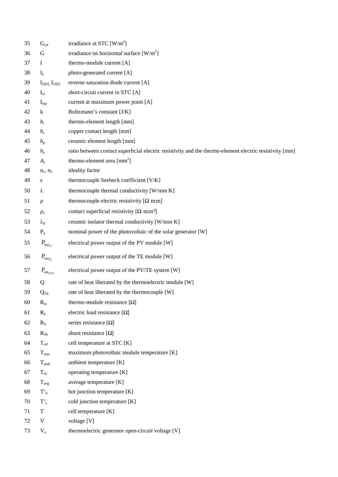| 35 | $G_{ref}$                           | irradiance at STC $[W/m^2]$                                                                             |
|----|-------------------------------------|---------------------------------------------------------------------------------------------------------|
| 36 | G                                   | irradiance on horizontal surface $[W/m^2]$                                                              |
| 37 | Ι                                   | thermo-module current [A]                                                                               |
| 38 | $I_{L}$                             | photo-generated current [A]                                                                             |
| 39 | I <sub>OD1</sub> , I <sub>OD2</sub> | reverse saturation diode current [A]                                                                    |
| 40 | $I_{sc}$                            | short-circuit current in STC [A]                                                                        |
| 41 | $I_{mp}$                            | current at maximum power point [A]                                                                      |
| 42 | k                                   | Boltzmann's constant [J/K]                                                                              |
| 43 | $h_t$                               | thermo-element length [mm]                                                                              |
| 44 | $h_c$                               | copper contact length [mm]                                                                              |
| 45 | $h_p$                               | ceramic element length [mm]                                                                             |
| 46 | $h_{s}$                             | ratio between contact superficial electric resistivity and the thermo-element electric resistivity [mm] |
| 47 | $A_t$                               | thermo-element area $\text{[mm}^2\text{]}$                                                              |
| 48 | $n_1, n_2$                          | ideality factor                                                                                         |
| 49 | S                                   | thermocouple Seebeck coefficient [V/K]                                                                  |
| 50 | λ                                   | thermocouple thermal conductivity [W/mm K]                                                              |
| 51 | ρ                                   | thermocouple electric resistivity $[\Omega \text{ mm}]$                                                 |
| 52 | $\rho_c$                            | contact superficial resistivity $[\Omega \text{ mm}^2]$                                                 |
| 53 | $\lambda_{\rm p}$                   | ceramic isolator thermal conductivity [W/mm K]                                                          |
| 54 | $P_n$                               | nominal power of the photovoltaic of the solar generator [W]                                            |
| 55 | $P_{_{out_{PV}}}$                   | electrical power output of the PV module [W]                                                            |
| 56 | $P_{out_{TE}}$                      | electrical power output of the TE module [W]                                                            |
| 57 | $P_{\rm out_{\it PVTE}}$            | electrical power output of the PV/TE system [W]                                                         |
| 58 | Q                                   | rate of heat liberated by the thermoelectric module [W]                                                 |
| 59 | $Q_{\mathrm{TE}}$                   | rate of heat liberated by the thermocouple [W]                                                          |
| 60 | $R_{in}$                            | thermo-module resistance $[\Omega]$                                                                     |
| 61 | $R_L$                               | electric load resistance $[\Omega]$                                                                     |
| 62 | $R_{S}$                             | series resistance $[\Omega]$                                                                            |
| 63 | $R_{Sh}$                            | shunt resistance $[\Omega]$                                                                             |
| 64 | $T_{ref}$                           | cell temperature at STC [K]                                                                             |
| 65 | $T_{\rm max}$                       | maximum photovoltaic module temperature [K]                                                             |
| 66 | $T_{amb}$                           | ambient temperature [K]                                                                                 |
| 67 | $T_m$                               | operating temperature [K]                                                                               |
| 68 | $T_{avg}$                           | average temperature [K]                                                                                 |
| 69 | $T'_{h}$                            | hot junction temperature [K]                                                                            |
| 70 | $T_c$                               | cold junction temperature [K]                                                                           |
| 71 | T                                   | cell temperature [K]                                                                                    |
| 72 | V                                   | voltage [V]                                                                                             |
| 73 | $V_{o}$                             | thermoelectric generator open-circuit voltage [V]                                                       |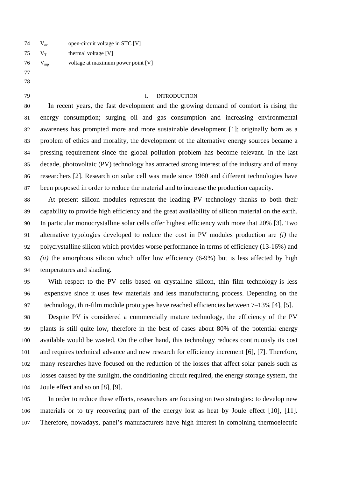$74 \text{ V}_{\text{oc}}$  open-circuit voltage in STC [V] 75  $V_T$  thermal voltage [V]  $76 \,$  V<sub>mp</sub> voltage at maximum power point [V] 

#### I. INTRODUCTION

 In recent years, the fast development and the growing demand of comfort is rising the energy consumption; surging oil and gas consumption and increasing environmental awareness has prompted more and more sustainable development [\[1\];](#page-21-0) originally born as a problem of ethics and morality, the development of the alternative energy sources became a pressing requirement since the global pollution problem has become relevant. In the last decade, photovoltaic (PV) technology has attracted strong interest of the industry and of many researchers [\[2\].](#page-21-1) Research on solar cell was made since 1960 and different technologies have been proposed in order to reduce the material and to increase the production capacity.

 At present silicon modules represent the leading PV technology thanks to both their capability to provide high efficiency and the great availability of silicon material on the earth. In particular monocrystalline solar cells offer highest efficiency with more that 20% [\[3\].](#page-21-2) Two alternative typologies developed to reduce the cost in PV modules production are *(i)* the polycrystalline silicon which provides worse performance in terms of efficiency (13-16%) and *(ii)* the amorphous silicon which offer low efficiency (6-9%) but is less affected by high temperatures and shading.

 With respect to the PV cells based on crystalline silicon, thin film technology is less expensive since it uses few materials and less manufacturing process. Depending on the technology, thin-film module prototypes have reached efficiencies between 7–13% [\[4\],](#page-21-3) [\[5\].](#page-21-4)

 Despite PV is considered a commercially mature technology, the efficiency of the PV plants is still quite low, therefore in the best of cases about 80% of the potential energy available would be wasted. On the other hand, this technology reduces continuously its cost and requires technical advance and new research for efficiency increment [\[6\],](#page-21-5) [\[7\].](#page-21-6) Therefore, many researches have focused on the reduction of the losses that affect solar panels such as losses caused by the sunlight, the conditioning circuit required, the energy storage system, the Joule effect and so on [\[8\],](#page-21-7) [\[9\].](#page-21-8)

 In order to reduce these effects, researchers are focusing on two strategies: to develop new materials or to try recovering part of the energy lost as heat by Joule effect [\[10\],](#page-22-0) [\[11\].](#page-22-1) Therefore, nowadays, panel's manufacturers have high interest in combining thermoelectric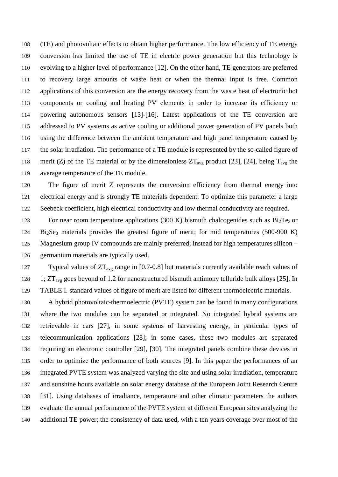(TE) and photovoltaic effects to obtain higher performance. The low efficiency of TE energy conversion has limited the use of TE in electric power generation but this technology is evolving to a higher level of performance [\[12\].](#page-22-2) On the other hand, TE generators are preferred to recovery large amounts of waste heat or when the thermal input is free. Common applications of this conversion are the energy recovery from the waste heat of electronic hot components or cooling and heating PV elements in order to increase its efficiency or powering autonomous sensors [\[13\]](#page-22-3)[-\[16\].](#page-22-4) Latest applications of the TE conversion are addressed to PV systems as active cooling or additional power generation of PV panels both using the difference between the ambient temperature and high panel temperature caused by the solar irradiation. The performance of a TE module is represented by the so-called figure of 118 merit (Z) of the TE material or by the dimensionless  $2T_{avg}$  product [\[23\],](#page-22-5) [\[24\],](#page-23-0) being  $T_{avg}$  the average temperature of the TE module.

 The figure of merit Z represents the conversion efficiency from thermal energy into electrical energy and is strongly TE materials dependent. To optimize this parameter a large Seebeck coefficient, high electrical conductivity and low thermal conductivity are required.

123 For near room temperature applications (300 K) bismuth chalcogenides such as  $Bi<sub>2</sub>Te<sub>3</sub>$  or Bi2Se3 materials provides the greatest figure of merit; for mid temperatures (500-900 K) Magnesium group IV compounds are mainly preferred; instead for high temperatures silicon – germanium materials are typically used.

127 Typical values of  $2T_{avg}$  range in [0.7-0.8] but materials currently available reach values of 128 1;  $2T_{\text{avg}}$  goes beyond of 1.2 for nanostructured bismuth antimony telluride bulk alloys [\[25\].](#page-23-1) In [TABLE I. s](#page-5-0)tandard values of figure of merit are listed for different thermoelectric materials.

 A hybrid photovoltaic-thermoelectric (PVTE) system can be found in many configurations where the two modules can be separated or integrated. No integrated hybrid systems are retrievable in cars [\[27\],](#page-23-2) in some systems of harvesting energy, in particular types of telecommunication applications [\[28\];](#page-23-3) in some cases, these two modules are separated requiring an electronic controller [\[29\],](#page-23-4) [\[30\].](#page-23-5) The integrated panels combine these devices in order to optimize the performance of both sources [\[9\].](#page-21-8) In this paper the performances of an integrated PVTE system was analyzed varying the site and using solar irradiation, temperature and sunshine hours available on solar energy database of the European Joint Research Centre [\[31\].](#page-23-6) Using databases of irradiance, temperature and other climatic parameters the authors evaluate the annual performance of the PVTE system at different European sites analyzing the additional TE power; the consistency of data used, with a ten years coverage over most of the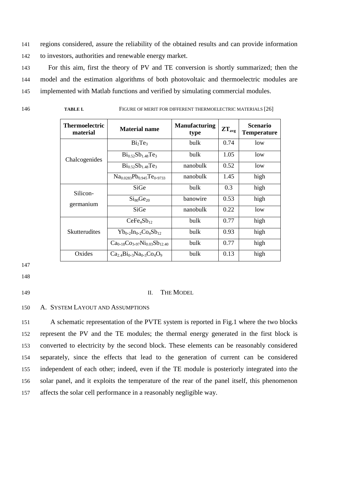141 regions considered, assure the reliability of the obtained results and can provide information 142 to investors, authorities and renewable energy market.

143 For this aim, first the theory of PV and TE conversion is shortly summarized; then the 144 model and the estimation algorithms of both photovoltaic and thermoelectric modules are 145 implemented with Matlab functions and verified by simulating commercial modules.

<span id="page-5-0"></span>146 **TABLE I.** FIGURE OF MERIT FOR DIFFERENT THERMOELECTRIC MATERIAL[S \[26\]](#page-23-7)

| <b>Thermoelectric</b><br>material | <b>Material name</b>                                          | <b>Manufacturing</b><br>type | $ZT_{\text{avg}}$ | <b>Scenario</b><br><b>Temperature</b> |
|-----------------------------------|---------------------------------------------------------------|------------------------------|-------------------|---------------------------------------|
|                                   | Bi <sub>2</sub> Te <sub>3</sub>                               | bulk                         | 0.74              | low                                   |
| Chalcogenides                     | $Bi_{0.52}Sb_{1.48}Te_3$                                      | bulk                         | 1.05              | low                                   |
|                                   | $Bi_{0.52}Sb_{1.48}Te_3$                                      | nanobulk                     | 0.52              | low                                   |
|                                   | $Na0.0283Pb0.945Te0.9733$                                     | nanobulk                     | 1.45              | high                                  |
| Silicon-                          | SiGe                                                          | bulk                         | 0.3               | high                                  |
| germanium                         | Si <sub>80</sub> Ge <sub>20</sub>                             | banowire                     | 0.53              | high                                  |
|                                   | SiGe                                                          | nanobulk                     | 0.22              | low                                   |
|                                   | CeFe <sub>4</sub> Sb <sub>12</sub>                            | bulk                         | 0.77              | high                                  |
| <b>Skutterudites</b>              | $Yb_{0.2}$ In <sub>0.2</sub> Co <sub>4</sub> Sb <sub>12</sub> | bulk                         | 0.93              | high                                  |
|                                   | $Ca_{0.18}Co_{3.97}Ni_{0.03}Sb_{12.40}$                       | bulk                         | 0.77              | high                                  |
| Oxides                            | $Ca_{2.4}Bi_{0.3}Na_{0.3}Co_{4}O_{9}$                         | bulk                         | 0.13              | high                                  |

147

148

#### 149 II. THE MODEL

150 A. SYSTEM LAYOUT AND ASSUMPTIONS

 A schematic representation of the PVTE system is reported in [Fig.1](#page-6-0) where the two blocks represent the PV and the TE modules; the thermal energy generated in the first block is converted to electricity by the second block. These elements can be reasonably considered separately, since the effects that lead to the generation of current can be considered independent of each other; indeed, even if the TE module is posteriorly integrated into the solar panel, and it exploits the temperature of the rear of the panel itself, this phenomenon affects the solar cell performance in a reasonably negligible way.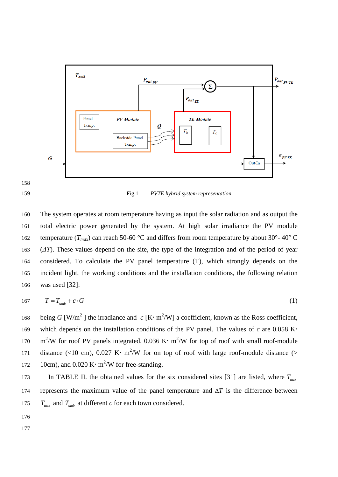

<span id="page-6-0"></span>159 Fig.1 *- PVTE hybrid system representation*

 The system operates at room temperature having as input the solar radiation and as output the total electric power generated by the system. At high solar irradiance the PV module 162 temperature ( $T_{max}$ ) can reach 50-60 °C and differs from room temperature by about 30°-40° C (*ΔT*). These values depend on the site, the type of the integration and of the period of year considered. To calculate the PV panel temperature (T), which strongly depends on the incident light, the working conditions and the installation conditions, the following relation was used [\[32\]:](#page-23-8)

$$
167 \t\t T = T_{amb} + c \cdot G \t\t(1)
$$

168 being *G* [W/m<sup>2</sup>] the irradiance and  $c$  [K·m<sup>2</sup>/W] a coefficient, known as the Ross coefficient, 169 which depends on the installation conditions of the PV panel. The values of  $c$  are 0.058 K· 170 m<sup>2</sup>/W for roof PV panels integrated, 0.036 K· m<sup>2</sup>/W for top of roof with small roof-module 171 distance (<10 cm), 0.027 K· m<sup>2</sup>/W for on top of roof with large roof-module distance (> 172 10cm), and  $0.020 \text{ K} \cdot \text{m}^2/\text{W}$  for free-standing.

In [TABLE II. t](#page-7-0)he obtained values for the six considered sites [\[31\]](#page-23-6) are listed, where  $T_{\text{max}}$ 174 represents the maximum value of the panel temperature and ∆*T* is the difference between 175  $T_{\text{max}}$  and  $T_{\text{amb}}$  at different *c* for each town considered.

- 176
- 177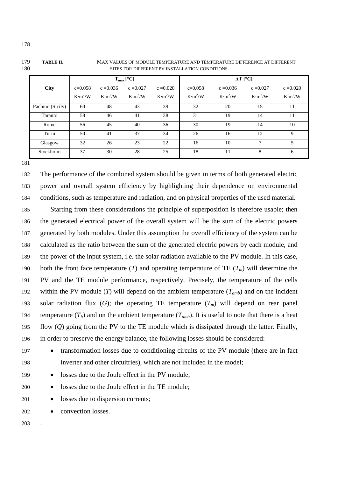|                  |                     |                     | $T_{max}$ [°C]      |                 | $\Delta T$ [°C]     |                     |                     |                     |  |  |  |
|------------------|---------------------|---------------------|---------------------|-----------------|---------------------|---------------------|---------------------|---------------------|--|--|--|
| <b>City</b>      | $c=0.058$           | $c = 0.036$         | $c = 0.027$         | $c = 0.020$     | $c=0.058$           | $c = 0.036$         | $c = 0.027$         | $c = 0.020$         |  |  |  |
|                  | K·m <sup>2</sup> /W | K·m <sup>2</sup> /W | K·m <sup>2</sup> /W | $K \cdot m^2/W$ | K·m <sup>2</sup> /W | K·m <sup>2</sup> /W | K·m <sup>2</sup> /W | K·m <sup>2</sup> /W |  |  |  |
| Pachino (Sicily) | 60                  | 48                  | 43                  | 39              | 32                  | 20                  | 15                  | 11                  |  |  |  |
| Taranto          | 58                  | 46                  | 41                  | 38              | 31                  | 19                  | 14                  | 11                  |  |  |  |
| Rome             | 56                  | 45                  | 40                  | 36              | 30                  | 19                  | 14                  | 10                  |  |  |  |
| Turin            | 50                  | 41                  | 37                  | 34              | 26                  | 16                  | 12                  | 9                   |  |  |  |
| Glasgow          | 32                  | 26                  | 23                  | 22              | 16                  | 10                  | 7                   | 5                   |  |  |  |
| Stockholm        | 37                  | 30                  | 28                  | 25              | 18                  | 11                  | 8                   | 6                   |  |  |  |

#### <span id="page-7-0"></span>179 **TABLE II.** MAX VALUES OF MODULE TEMPERATURE AND TEMPERATURE DIFFERENCE AT DIFFERENT 180 SITES FOR DIFFERENT PV INSTALLATION CONDITIONS

181

182 The performance of the combined system should be given in terms of both generated electric 183 power and overall system efficiency by highlighting their dependence on environmental 184 conditions, such as temperature and radiation, and on physical properties of the used material.

185 Starting from these considerations the principle of superposition is therefore usable; then 186 the generated electrical power of the overall system will be the sum of the electric powers 187 generated by both modules. Under this assumption the overall efficiency of the system can be 188 calculated as the ratio between the sum of the generated electric powers by each module, and 189 the power of the input system, i.e. the solar radiation available to the PV module. In this case, 190 both the front face temperature  $(T)$  and operating temperature of TE  $(T_m)$  will determine the 191 PV and the TE module performance, respectively. Precisely, the temperature of the cells 192 within the PV module (*T*) will depend on the ambient temperature  $(T_{amb})$  and on the incident 193 solar radiation flux  $(G)$ ; the operating TE temperature  $(T_m)$  will depend on rear panel 194 temperature  $(T_h)$  and on the ambient temperature  $(T_{amb})$ . It is useful to note that there is a heat 195 flow (*Q*) going from the PV to the TE module which is dissipated through the latter. Finally, 196 in order to preserve the energy balance, the following losses should be considered:

- 197 transformation losses due to conditioning circuits of the PV module (there are in fact
- 198 inverter and other circuitries), which are not included in the model;

199 • losses due to the Joule effect in the PV module;

- 200 losses due to the Joule effect in the TE module;
- 201 losses due to dispersion currents;
- 202 convection losses.

203 .

178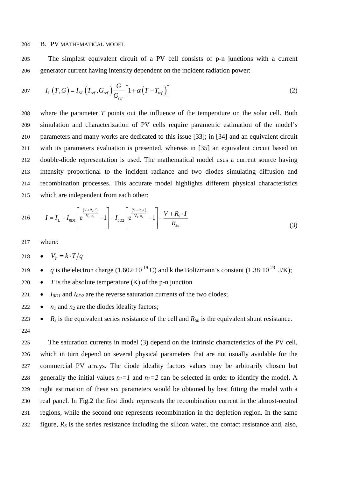#### 204 B. PV MATHEMATICAL MODEL

205 The simplest equivalent circuit of a PV cell consists of p-n junctions with a current 206 generator current having intensity dependent on the incident radiation power:

$$
207 \qquad I_{\rm L}\left(T,G\right) = I_{\rm SC}\left(T_{\rm ref},G_{\rm ref}\right) \frac{G}{G_{\rm ref}} \left[1 + \alpha \left(T - T_{\rm ref}\right)\right] \tag{2}
$$

 where the parameter *T* points out the influence of the temperature on the solar cell. Both simulation and characterization of PV cells require parametric estimation of the model's parameters and many works are dedicated to this issue [\[33\];](#page-23-9) in [\[34\]](#page-23-10) and an equivalent circuit with its parameters evaluation is presented, whereas in [\[35\]](#page-23-11) an equivalent circuit based on double-diode representation is used. The mathematical model uses a current source having intensity proportional to the incident radiance and two diodes simulating diffusion and recombination processes. This accurate model highlights different physical characteristics which are independent from each other:

216 
$$
I = I_{L} - I_{0D1} \left[ e^{\frac{(V + R_{s} \cdot I)}{V_{T} \cdot n_{1}}} - 1 \right] - I_{0D2} \left[ e^{\frac{(V + R_{s} \cdot I)}{V_{T} \cdot n_{2}}} - 1 \right] - \frac{V + R_{S} \cdot I}{R_{Sh}}
$$
(3)

217 where:

218  $\bullet$   $V_r = k \cdot T/q$ 

<sup>219</sup> • *q* is the electron charge (1.602·10<sup>-19</sup> C) and k the Boltzmann's constant (1.38·10<sup>-23</sup> J/K);

220  $\bullet$  *T* is the absolute temperature (K) of the p-n junction

 $221$  •  $I_{0D1}$  and  $I_{0D2}$  are the reverse saturation currents of the two diodes;

222 •  $n_1$  and  $n_2$  are the diodes ideality factors;

- 223  $R_s$  is the equivalent series resistance of the cell and  $R_{Sh}$  is the equivalent shunt resistance.
- 224

 The saturation currents in model (3) depend on the intrinsic characteristics of the PV cell, which in turn depend on several physical parameters that are not usually available for the commercial PV arrays. The diode ideality factors values may be arbitrarily chosen but 228 generally the initial values  $n_1=1$  and  $n_2=2$  can be selected in order to identify the model. A right estimation of these six parameters would be obtained by best fitting the model with a real panel. In [Fig.2](#page-9-0) the first diode represents the recombination current in the almost-neutral regions, while the second one represents recombination in the depletion region. In the same figure, *RS* is the series resistance including the silicon wafer, the contact resistance and, also,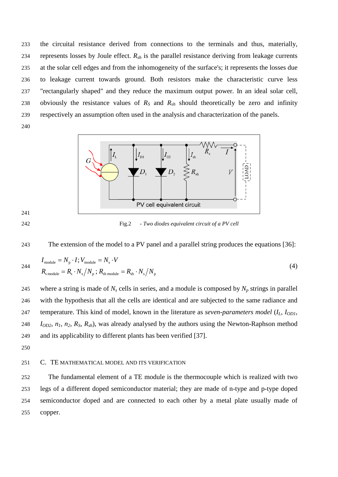the circuital resistance derived from connections to the terminals and thus, materially, 234 represents losses by Joule effect.  $R_{sh}$  is the parallel resistance deriving from leakage currents at the solar cell edges and from the inhomogeneity of the surface's; it represents the losses due to leakage current towards ground. Both resistors make the characteristic curve less "rectangularly shaped" and they reduce the maximum output power. In an ideal solar cell, obviously the resistance values of *RS* and *Rsh* should theoretically be zero and infinity respectively an assumption often used in the analysis and characterization of the panels.



<span id="page-9-0"></span>Fig.2 *- Two diodes equivalent circuit of a PV cell*



$$
I_{\text{module}} = N_{\text{p}} \cdot I; V_{\text{module}} = N_{\text{s}} \cdot V
$$
  
\n
$$
R_{\text{smodule}} = R_{\text{s}} \cdot N_{\text{s}} / N_{\text{p}}; R_{\text{sh module}} = R_{\text{sh}} \cdot N_{\text{s}} / N_{\text{p}}
$$
\n(4)

245 where a string is made of  $N_s$  cells in series, and a module is composed by  $N_p$  strings in parallel with the hypothesis that all the cells are identical and are subjected to the same radiance and temperature. This kind of model, known in the literature as *seven-parameters model* (*IL, IOD1, IOD2, n1, n2, RS, Rsh*), was already analysed by the authors using the Newton-Raphson method and its applicability to different plants has been verified [\[37\].](#page-23-13)

### C. TE MATHEMATICAL MODEL AND ITS VERIFICATION

 The fundamental element of a TE module is the thermocouple which is realized with two legs of a different doped semiconductor material; they are made of n-type and p-type doped semiconductor doped and are connected to each other by a metal plate usually made of copper.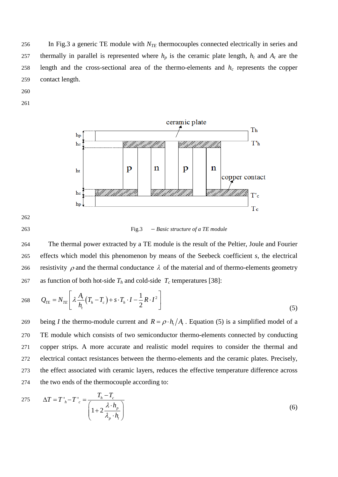256 In [Fig.3](#page-10-0) a generic TE module with *N<sub>TE</sub>* thermocouples connected electrically in series and 257 thermally in parallel is represented where  $h_p$  is the ceramic plate length,  $h_t$  and  $A_t$  are the 258 length and the cross-sectional area of the thermo-elements and  $h_c$  represents the copper 259 contact length.

- 260
- 261



262

<span id="page-10-0"></span>263 Fig.3 *– Basic structure of a TE module*

264 The thermal power extracted by a TE module is the result of the Peltier, Joule and Fourier 265 effects which model this phenomenon by means of the Seebeck coefficient *s*, the electrical 266 resistivity  $\rho$  and the thermal conductance  $\lambda$  of the material and of thermo-elements geometry 267 as function of both hot-side  $T_h$  and cold-side  $T_c$  temperatures [\[38\]:](#page-23-14)

$$
268 \qquad Q_{TE} = N_{TE} \left[ \lambda \frac{A_i}{h_i} \left( T_h - T_c \right) + s \cdot T_h \cdot I - \frac{1}{2} R \cdot I^2 \right] \tag{5}
$$

being *I* the thermo-module current and  $R = \rho \cdot h_t/A_t$ . Equation (5) is a simplified model of a TE module which consists of two semiconductor thermo-elements connected by conducting copper strips. A more accurate and realistic model requires to consider the thermal and electrical contact resistances between the thermo-elements and the ceramic plates. Precisely, the effect associated with ceramic layers, reduces the effective temperature difference across the two ends of the thermocouple according to:

275 
$$
\Delta T = T'_{h} - T'_{c} = \frac{T_{h} - T_{c}}{\left(1 + 2\frac{\lambda \cdot h_{p}}{\lambda_{p} \cdot h_{t}}\right)}
$$
(6)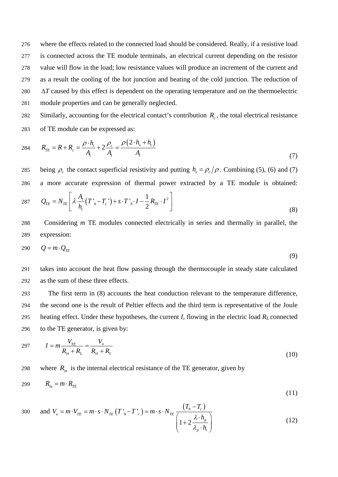where the effects related to the connected load should be considered. Really, if a resistive load is connected across the TE module terminals, an electrical current depending on the resistor value will flow in the load; low resistance values will produce an increment of the current and as a result the cooling of the hot junction and heating of the cold junction. The reduction of ∆*T* caused by this effect is dependent on the operating temperature and on the thermoelectric module properties and can be generally neglected.

Similarly, accounting for the electrical contact's contribution  $R_c$ , the total electrical resistance 283 of TE module can be expressed as:

284 
$$
R_{TE} = R + R_c = \frac{\rho \cdot h_i}{A_i} + 2 \frac{\rho_c}{A_i} = \frac{\rho (2 \cdot h_s + h_t)}{A_t}
$$
 (7)

being  $\rho_c$  the contact superficial resistivity and putting  $h_s = \rho_c / \rho$ . Combining (5), (6) and (7) 286 a more accurate expression of thermal power extracted by a TE module is obtained:  $\left( \partial_{TE} = N_{TE} \right) \left[ \lambda \frac{A_t}{h_t} \left( T^+_{\ \ h} - T^-_{\ c}{}^{\ t} \right) + s \cdot T^+_{\ \ h} \cdot I - \frac{1}{2} R_{TE} \cdot I^2 \right]$  $Q_{TE} = N_{TE} \left[ \lambda \frac{A_{_t}}{h_{_t}} (T^+_{h} - T^-_{c}^+) + s \cdot T^+_{h} \cdot I - \frac{1}{2} R_{TE} \cdot I \right]$ λ  $= N_{TE} \left[ \lambda \frac{A_t}{h_t} (T \, \cdot_h - T_c \, \cdot) + s \cdot T \, \cdot_h \cdot I - \frac{1}{2} R_{TE} \cdot I^2 \right]$ (8) 287

288 Considering *m* TE modules connected electrically in series and thermally in parallel, the 289 expression:

$$
290 \tQ = m \cdot Q_{TE} \t\t(9)
$$

291 takes into account the heat flow passing through the thermocouple in steady state calculated 292 as the sum of these three effects.

 The first term in (8) accounts the heat conduction relevant to the temperature difference, the second one is the result of Peltier effects and the third term is representative of the Joule 295 heating effect. Under these hypotheses, the current *I*, flowing in the electric load  $R_L$  connected to the TE generator, is given by:

297 
$$
I = m \frac{V_{TE}}{R_{in} + R_L} = \frac{V_o}{R_{in} + R_L}
$$
 (10)

298 where  $R_{in}$  is the internal electrical resistance of the TE generator, given by

$$
R_{in} = m \cdot R_{TE} \tag{11}
$$

300 and 
$$
V_o = m \cdot V_{TE} = m \cdot s \cdot N_{TE} (T'_{h} - T'_{c}) = m \cdot s \cdot N_{TE} \frac{(T_{h} - T_{c})}{\left(1 + 2 \frac{\lambda \cdot h_{p}}{\lambda_{p} \cdot h_{i}}\right)}
$$
 (12)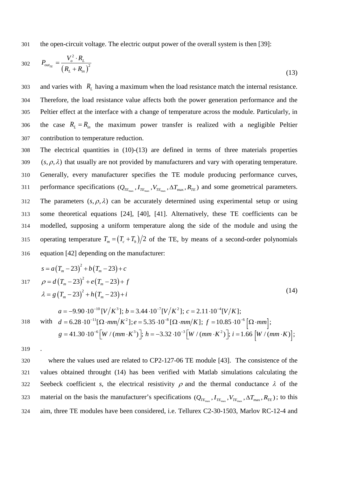301 the open-circuit voltage. The electric output power of the overall system is then [\[39\]:](#page-23-15)

302 
$$
P_{out_{TE}} = \frac{V_o^2 \cdot R_L}{(R_L + R_m)^2}
$$
 (13)

303 and varies with  $R<sub>L</sub>$  having a maximum when the load resistance match the internal resistance. 304 Therefore, the load resistance value affects both the power generation performance and the 305 Peltier effect at the interface with a change of temperature across the module. Particularly, in 306 the case  $R_L = R_{in}$  the maximum power transfer is realized with a negligible Peltier 307 contribution to temperature reduction.

308 The electrical quantities in (10)-(13) are defined in terms of three materials properties 309 ( $s, \rho, \lambda$ ) that usually are not provided by manufacturers and vary with operating temperature. 310 Generally, every manufacturer specifies the TE module producing performance curves, performance specifications  $(Q_{TE_{\text{max}}}$ ,  $I_{TE_{\text{max}}}$ ,  $V_{TE_{\text{max}}}$ ,  $A_{TE_{\text{max}}}$ ,  $R_{TE}$ ) and some geometrical parameters. 312 The parameters  $(s, \rho, \lambda)$  can be accurately determined using experimental setup or using 313 some theoretical equations [\[24\],](#page-23-0) [\[40\],](#page-23-16) [\[41\].](#page-23-17) Alternatively, these TE coefficients can be 314 modelled, supposing a uniform temperature along the side of the module and using the operating temperature  $T_m = (T_c + T_h)/2$  of the TE, by means of a second-order polynomials 316 equation [\[42\]](#page-24-0) depending on the manufacturer:

$$
s = a(T_m - 23)^2 + b(T_m - 23) + c
$$
  
\n
$$
0 = d(T_m - 23)^2 + e(T_m - 23) + f
$$
  
\n
$$
\lambda = g(T_m - 23)^2 + h(T_m - 23) + i
$$
  
\n
$$
a = -9.90 \cdot 10^{-10} [V/K^3]; b = 3.44 \cdot 10^{-7} [V/K^2]; c = 2.11 \cdot 10^{-4} [V/K];
$$
  
\nwith  $d = 6.28 \cdot 10^{-11} [\Omega \cdot mm/K^2]; e = 5.35 \cdot 10^{-8} [\Omega \cdot mm/K]; f = 10.85 \cdot 10^{-6} [\Omega \cdot mm];$ 

$$
g = 41.30 \cdot 10^{-6} \Big[ W / (mm \cdot K^3) \Big]; h = -3.32 \cdot 10^{-3} \Big[ W / (mm \cdot K^2) \Big]; i = 1.66 \Big[ W / (mm \cdot K) \Big];
$$

319

320 where the values used are related to CP2-127-06 TE module [\[43\].](#page-24-1) The consistence of the 321 values obtained throught (14) has been verified with Matlab simulations calculating the 322 Seebeck coefficient *s*, the electrical resistivity  $\rho$  and the thermal conductance  $\lambda$  of the material on the basis the manufacturer's specifications  $(Q_{TE_{\text{max}}}, I_{TE_{\text{max}}}, V_{TE_{\text{max}}}$ ,  $\Delta T_{\text{max}}$ ,  $R_{TE}$ ); to this 324 aim, three TE modules have been considered, i.e. Tellurex C2-30-1503, Marlov RC-12-4 and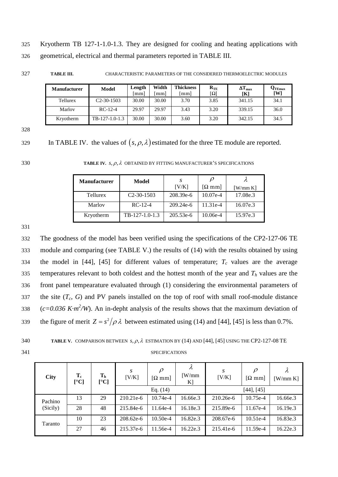325 Kryotherm TB 127-1-1.0-1.3. They are designed for cooling and heating applications with 326 geometrical, electrical and thermal parameters reported in TABLE III.

327 **TABLE III.** CHARACTERISTIC PARAMETERS OF THE CONSIDERED THERMOELECTRIC MODULES

| <b>Manufacturer</b> | <b>Model</b>   | Length<br>mml | Width<br>$\lceil$ mm $\rceil$ | <b>Thickness</b><br>[mm] | $R_{\rm TE}$<br>$\lceil \Omega \rceil$ | $\Delta T_{\rm max}$<br>[K] | $\mathbf{Q}_{\text{TEmax}}$<br>[W] |
|---------------------|----------------|---------------|-------------------------------|--------------------------|----------------------------------------|-----------------------------|------------------------------------|
| Tellurex            | $C2-30-1503$   | 30.00         | 30.00                         | 3.70                     | 3.85                                   | 341.15                      | 34.1                               |
| Marlov              | $RC-12-4$      | 29.97         | 29.97                         | 3.43                     | 3.20                                   | 339.15                      | 36.0                               |
| Kryotherm           | TB-127-1.0-1.3 | 30.00         | 30.00                         | 3.60                     | 3.20                                   | 342.15                      | 34.5                               |

328

329 In [TABLE IV.](#page-13-0) the values of  $(s, \rho, \lambda)$  estimated for the three TE module are reported.

<span id="page-13-0"></span>

330 **TABLE IV.**  $s, \rho, \lambda$  OBTAINED BY FITTING MANUFACTURER'S SPECIFICATIONS

| <b>Manufacturer</b> | Model            | -S          | $\mathcal{D}$                     |                |  |  |
|---------------------|------------------|-------------|-----------------------------------|----------------|--|--|
|                     |                  | [V/K]       | $\lceil \Omega \text{ mm} \rceil$ | $[$ W/mm K $]$ |  |  |
| <b>Tellurex</b>     | $C2-30-1503$     | 208.39e-6   | $10.07e-4$                        | 17.08e.3       |  |  |
| Marlov              | $RC-12-4$        | $209.24e-6$ | 11.31e-4                          | 16.07e.3       |  |  |
| Kryotherm           | $TB-127-1.0-1.3$ | $205.53e-6$ | 10.06e-4                          | 15.97e.3       |  |  |

331

332 The goodness of the model has been verified using the specifications of the CP2-127-06 TE 333 module and comparing (see [TABLE V.\)](#page-13-1) the results of (14) with the results obtained by using 334 the model in [\[44\],](#page-24-2) [\[45\]](#page-24-3) for different values of temperature;  $T_c$  values are the average 335 temperatures relevant to both coldest and the hottest month of the year and  $T<sub>h</sub>$  values are the 336 front panel tempearature evaluated through (1) considering the environmental parameters of 337 the site  $(T_c, G)$  and PV panels installed on the top of roof with small roof-module distance 338 *(c=0.036 K·m<sup>2</sup>/W)*. An in-depht analysis of the results shows that the maximum deviation of the figure of merit  $Z = s^2/\rho \lambda$  between estimated using (14) and [\[44\],](#page-24-2) [\[45\]](#page-24-3) is less than 0.7%.

<span id="page-13-1"></span>

| 340 |  | <b>TABLE V.</b> COMPARISON BETWEEN $s, \rho, \lambda$ ESTIMATION BY (14) AND [44], [45] USING THE CP2-127-08 TE |  |
|-----|--|-----------------------------------------------------------------------------------------------------------------|--|
|     |  |                                                                                                                 |  |

341 SPECIFICATIONS

| <b>City</b> | $T_c$<br>[°C] | T <sub>h</sub><br>[°C] | S<br>[V/K] | $\rho$<br>$[\Omega \text{ mm}]$ | λ<br>$\lceil W/mm \rceil$<br>$K$ ] | S<br>[V/K]      | $\rho$<br>$\Omega$ mm | λ<br>$[$ W/mm K $]$ |  |
|-------------|---------------|------------------------|------------|---------------------------------|------------------------------------|-----------------|-----------------------|---------------------|--|
|             |               |                        |            | Eq. $(14)$                      |                                    | $[44]$ , $[45]$ |                       |                     |  |
| Pachino     | 13            | 29                     | 210.21e-6  | $10.74e-4$                      | 16.66e.3                           | 210.26e-6       | 10.75e-4              | 16.66e.3            |  |
| (Sicily)    | 28            | 48                     | 215.84e-6  | 11.64e-4                        | 16.18e.3                           | 215.89e-6       | 11.67e-4              | 16.19e.3            |  |
| Taranto     | 10            | 23                     | 208.62e-6  | $10.50e-4$                      | 16.82e.3                           | 208.67e-6       | $10.51e-4$            | 16.83e.3            |  |
|             | 27            | 46                     | 215.37e-6  | 11.56e-4                        | 16.22e.3                           | 215.41e-6       | 11.59e-4              | 16.22e.3            |  |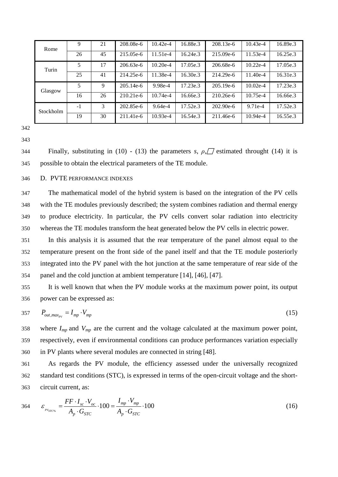| Rome      | 9    | 21 | 208.08e-6   | $10.42e-4$ | 16.88e.3 | 208.13e-6 | $10.43e-4$ | 16.89e.3 |
|-----------|------|----|-------------|------------|----------|-----------|------------|----------|
|           | 26   | 45 | 215.05e-6   | 11.51e-4   | 16.24e.3 | 215.09e-6 | 11.53e-4   | 16.25e.3 |
| Turin     | 5    | 17 | 206.63e-6   | $10.20e-4$ | 17.05e.3 | 206.68e-6 | $10.22e-4$ | 17.05e.3 |
|           | 25   | 41 | 214.25e-6   | 11.38e-4   | 16.30e.3 | 214.29e-6 | $11.40e-4$ | 16.31e.3 |
| Glasgow   | 5    | 9  | $205.14e-6$ | 9.98e-4    | 17.23e.3 | 205.19e-6 | $10.02e-4$ | 17.23e.3 |
|           | 16   | 26 | $210.21e-6$ | $10.74e-4$ | 16.66e.3 | 210.26e-6 | $10.75e-4$ | 16.66e.3 |
| Stockholm | $-1$ | 3  | 202.85e-6   | 9.64e-4    | 17.52e.3 | 202.90e-6 | $9.71e-4$  | 17.52e.3 |
|           | 19   | 30 | 211.41e-6   | $10.93e-4$ | 16.54e.3 | 211.46e-6 | $10.94e-4$ | 16.55e.3 |

344 Finally, substituting in (10) - (13) the parameters *s*,  $\rho$ ,  $\Box$  estimated throught (14) it is possible to obtain the electrical parameters of the TE module.

### D. PVTE PERFORMANCE INDEXES

 The mathematical model of the hybrid system is based on the integration of the PV cells with the TE modules previously described; the system combines radiation and thermal energy to produce electricity. In particular, the PV cells convert solar radiation into electricity whereas the TE modules transform the heat generated below the PV cells in electric power.

 In this analysis it is assumed that the rear temperature of the panel almost equal to the temperature present on the front side of the panel itself and that the TE module posteriorly integrated into the PV panel with the hot junction at the same temperature of rear side of the panel and the cold junction at ambient temperature [\[14\],](#page-22-6) [\[46\],](#page-24-4) [\[47\].](#page-24-5)

 It is well known that when the PV module works at the maximum power point, its output power can be expressed as:

$$
B_{out,max_{pv}} = I_{mp} \cdot V_{mp} \tag{15}
$$

358 where  $I_{mp}$  and  $V_{mp}$  are the current and the voltage calculated at the maximum power point, respectively, even if environmental conditions can produce performances variation especially in PV plants where several modules are connected in string [\[48\].](#page-24-6)

 As regards the PV module, the efficiency assessed under the universally recognized standard test conditions (STC), is expressed in terms of the open-circuit voltage and the short-circuit current, as:

$$
364 \t\t \varepsilon_{\text{pv}_{STC\%}} = \frac{FF \cdot I_{sc} \cdot V_{oc}}{A_p \cdot G_{STC}} \cdot 100 = \frac{I_{mp} \cdot V_{mp}}{A_p \cdot G_{STC}} \cdot 100 \tag{16}
$$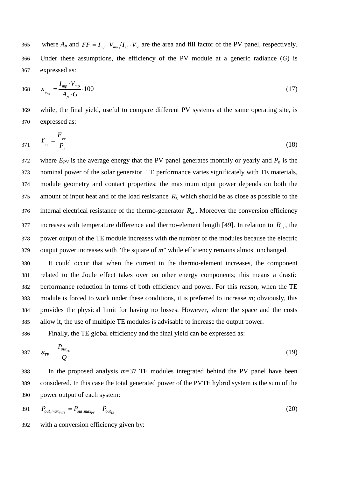365 where  $A_p$  and  $FF = I_{mp} \cdot V_{mp}/I_{sc} \cdot V_{oc}$  are the area and fill factor of the PV panel, respectively. 366 Under these assumptions, the efficiency of the PV module at a generic radiance (*G*) is 367 expressed as:

$$
368 \t \t \varepsilon_{\frac{pv_{\phi_6}}{A_p} - \frac{I_{mp} \cdot V_{mp}}{A_p \cdot G}} \cdot 100 \t (17)
$$

369 while, the final yield, useful to compare different PV systems at the same operating site, is 370 expressed as:

$$
Y_{p} = \frac{E_{p}}{P_n} \tag{18}
$$

372 where  $E_{PV}$  is the average energy that the PV panel generates monthly or yearly and  $P_n$  is the 373 nominal power of the solar generator. TE performance varies significately with TE materials, 374 module geometry and contact properties; the maximum otput power depends on both the amount of input heat and of the load resistance  $R<sub>L</sub>$  which should be as close as possible to the 376 internal electrical resistance of the thermo-generator  $R_{in}$ . Moreover the conversion efficiency increases with temperature difference and thermo-element length [\[49\].](#page-24-7) In relation to  $R_{in}$ , the 378 power output of the TE module increases with the number of the modules because the electric 379 output power increases with "the square of *m*" while efficiency remains almost unchanged.

 It could occur that when the current in the thermo-element increases, the component related to the Joule effect takes over on other energy components; this means a drastic performance reduction in terms of both efficiency and power. For this reason, when the TE module is forced to work under these conditions, it is preferred to increase *m*; obviously, this provides the physical limit for having no losses. However, where the space and the costs allow it, the use of multiple TE modules is advisable to increase the output power.

386 Finally, the TE global efficiency and the final yield can be expressed as:

$$
s_{TE} = \frac{P_{out_{TE}}}{Q} \tag{19}
$$

388 In the proposed analysis *m*=37 TE modules integrated behind the PV panel have been 389 considered. In this case the total generated power of the PVTE hybrid system is the sum of the 390 power output of each system:

$$
P_{out,max_{PVE}} = P_{out,max_{PV}} + P_{out_{TE}} \tag{20}
$$

392 with a conversion efficiency given by: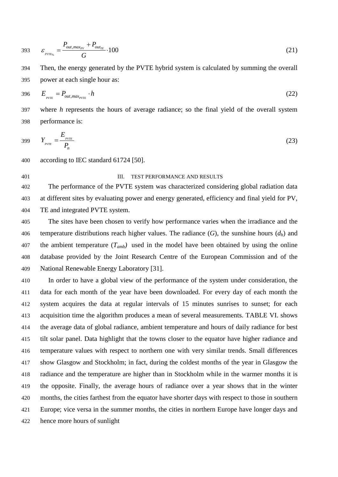$$
393 \t\t \varepsilon_{_{PVTE_{\gamma_6}}} = \frac{P_{out,max_{PV}} + P_{out_{TE}}}{G} \cdot 100 \t\t (21)
$$

 Then, the energy generated by the PVTE hybrid system is calculated by summing the overall power at each single hour as:

$$
396 \t E_{\text{pyTE}} = P_{\text{out,max}_{\text{pyTE}}} \cdot h \tag{22}
$$

 where *h* represents the hours of average radiance; so the final yield of the overall system performance is:

399 
$$
Y_{PVTE} = \frac{E_{PVTE}}{P_n}
$$
 (23)

according to IEC standard 61724 [\[50\].](#page-24-8)

#### **III.** TEST PERFORMANCE AND RESULTS

 The performance of the PVTE system was characterized considering global radiation data at different sites by evaluating power and energy generated, efficiency and final yield for PV, TE and integrated PVTE system.

 The sites have been chosen to verify how performance varies when the irradiance and the 406 temperature distributions reach higher values. The radiance  $(G)$ , the sunshine hours  $(d_h)$  and 407 the ambient temperature  $(T_{amb})$  used in the model have been obtained by using the online database provided by the Joint Research Centre of the European Commission and of the National Renewable Energy Laboratory [\[31\].](#page-23-6)

 In order to have a global view of the performance of the system under consideration, the data for each month of the year have been downloaded. For every day of each month the system acquires the data at regular intervals of 15 minutes sunrises to sunset; for each acquisition time the algorithm produces a mean of several measurements. [TABLE VI. s](#page-17-0)hows the average data of global radiance, ambient temperature and hours of daily radiance for best tilt solar panel. Data highlight that the towns closer to the equator have higher radiance and temperature values with respect to northern one with very similar trends. Small differences show Glasgow and Stockholm; in fact, during the coldest months of the year in Glasgow the radiance and the temperature are higher than in Stockholm while in the warmer months it is the opposite. Finally, the average hours of radiance over a year shows that in the winter months, the cities farthest from the equator have shorter days with respect to those in southern Europe; vice versa in the summer months, the cities in northern Europe have longer days and hence more hours of sunlight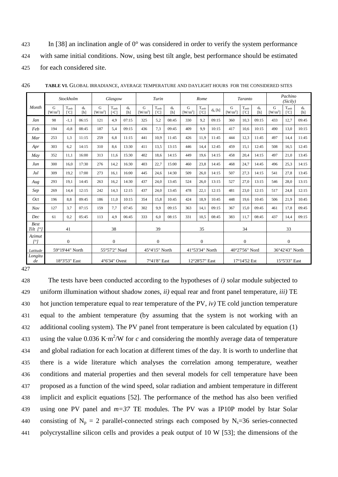423 In [\[38\]](#page-23-14) an inclination angle of 0° was considered in order to verify the system performance 424 with same initial conditions. Now, using best tilt angle, best performance should be estimated 425 for each considered site.

|                                  | Stockholm                        |                                  |              | Glasgow                              |                                             |              | Turin          |                                | Rome         |                                      |                                         | Taranto         |                                  |                                 | Pachino<br>(Sicily) |                          |                                  |              |  |
|----------------------------------|----------------------------------|----------------------------------|--------------|--------------------------------------|---------------------------------------------|--------------|----------------|--------------------------------|--------------|--------------------------------------|-----------------------------------------|-----------------|----------------------------------|---------------------------------|---------------------|--------------------------|----------------------------------|--------------|--|
| Month                            | G<br>$\left[\text{W/m}^2\right]$ | T <sub>amb</sub><br>$\Gamma$ Cl  | $d_h$<br>[h] | $\mathbf G$<br>$\lceil W/m^2 \rceil$ | T <sub>amb</sub><br>$\lceil \circ C \rceil$ | $d_h$<br>[h] | G<br>$[W/m^2]$ | $T_{amb}$<br>$\lceil C \rceil$ | $d_h$<br>[h] | $\mathbf G$<br>$\lceil W/m^2 \rceil$ | T <sub>amb</sub><br>$\lfloor C \rfloor$ | $d_h$ [h]       | G<br>$\left[\text{W/m}^2\right]$ | T <sub>amb</sub><br>$\Gamma$ Cl | $d_h$<br>[h]        | $\mathbf G$<br>$[W/m^2]$ | $T_{amb}$<br>$\lfloor C \rfloor$ | $d_h$<br>[h] |  |
| Jan                              | 98                               | $-1.1$                           | 06:15        | 121                                  | 4.9                                         | 07:15        | 325            | 5,2                            | 08:45        | 330                                  | 9,2                                     | 09:15           | 360                              | 10,3                            | 09:15               | 433                      | 12.7                             | 09:45        |  |
| Feb                              | 194                              | $-0.8$                           | 08:45        | 187                                  | 5.4                                         | 09:15        | 436            | 7.3                            | 09:45        | 409                                  | 9.9                                     | 10:15           | 417                              | 10.6                            | 10:15               | 490                      | 13.0                             | 10:15        |  |
| Mar                              | 253                              | 1.3                              | 11:15        | 259                                  | 6.8                                         | 11:15        | 441            | 10.9                           | 11:45        | 426                                  | 11.9                                    | 11:45           | 444                              | 12.3                            | 11:45               | 497                      | 14.4                             | 11:45        |  |
| Apr                              | 303                              | 6,2                              | 14:15        | 310                                  | 8.6                                         | 13:30        | 411            | 13.5                           | 13:15        | 446                                  | 14.4                                    | 12:45           | 459                              | 15.1                            | 12:45               | 508                      | 16.5                             | 12:45        |  |
| May                              | 352                              | 11.1                             | 16:00        | 313                                  | 11.6                                        | 15:30        | 402            | 18.6                           | 14:15        | 449                                  | 19,6                                    | 14:15           | 458                              | 20,4                            | 14:15               | 497                      | 21.0                             | 13:45        |  |
| Jun                              | 300                              | 16.0                             | 17:30        | 276                                  | 14,2                                        | 16:30        | 403            | 22,7                           | 15:00        | 460                                  | 23,8                                    | 14:45           | 468                              | 24,7                            | 14:45               | 496                      | 25,3                             | 14:15        |  |
| Jul                              | 309                              | 19,2                             | 17:00        | 273                                  | 16.1                                        | 16:00        | 445            | 24,6                           | 14:30        | 509                                  | 26,0                                    | 14:15           | 507                              | 27,3                            | 14:15               | 541                      | 27.8                             | 13:45        |  |
| Aug                              | 293                              | 19.1                             | 14:45        | 263                                  | 16,2                                        | 14:30        | 437            | 24.0                           | 13:45        | 524                                  | 26.0                                    | 13:15           | 527                              | 27,0                            | 13:15               | 546                      | 28.0                             | 13:15        |  |
| Sep                              | 269                              | 14,4                             | 12:15        | 242                                  | 14.3                                        | 12:15        | 437            | 24.0                           | 13:45        | 478                                  | 22,1                                    | 12:15           | 481                              | 23,0                            | 12:15               | 517                      | 24.8                             | 12:15        |  |
| Oct                              | 196                              | 8.8                              | 09:45        | 186                                  | 11.0                                        | 10:15        | 354            | 15.8                           | 10:45        | 424                                  | 18.9                                    | 10:45           | 448                              | 19.6                            | 10:45               | 506                      | 21.9                             | 10:45        |  |
| Nov                              | 127                              | 3.7                              | 07:15        | 159                                  | 7.7                                         | 07:45        | 302            | 9.9                            | 09:15        | 363                                  | 14,1                                    | 09:15           | 367                              | 15.0                            | 09:45               | 461                      | 17.8                             | 09:45        |  |
| Dec                              | 61                               | 0,2                              | 05:45        | 113                                  | 4.9                                         | 06:45        | 333            | 6.0                            | 08:15        | 331                                  | 10.5                                    | 08:45           | 383                              | 11.7                            | 08:45               | 437                      | 14.4                             | 09:15        |  |
| <b>Best</b><br>Tilt $[^{\circ}]$ |                                  | 41                               |              |                                      | 38                                          |              |                | 39                             |              |                                      | 35                                      |                 | 34                               |                                 |                     |                          | 33                               |              |  |
| Azimut<br>$I^{\circ}I$           | $\Omega$                         |                                  |              |                                      | $\Omega$                                    |              |                | $\Omega$                       |              |                                      | $\Omega$                                |                 | $\Omega$                         |                                 |                     | $\theta$                 |                                  |              |  |
| Latitude                         |                                  | 59°19'44" North<br>55°57'2" Nord |              |                                      | 45°4'15" North                              |              |                | 41°53'34" North                |              | 40°27'56" Nord                       |                                         | 36°42'43" North |                                  |                                 |                     |                          |                                  |              |  |
| Longitu<br>de                    |                                  | 18°3'53" East                    |              |                                      | 4°6'34" Ovest                               |              |                | 7°41'8" East                   |              |                                      | 12°28'57" East                          |                 | 17°14'52 Est                     |                                 |                     |                          | 15°5'33" East                    |              |  |

<span id="page-17-0"></span>426 **TABLE VI.** GLOBAL IRRADIANCE, AVERAGE TEMPERATURE AND DAYLIGHT HOURS FOR THE CONSIDERED SITES

427

 The tests have been conducted according to the hypotheses of *i)* solar module subjected to uniform illumination without shadow zones, *ii)* equal rear and front panel temperature, *iii)* TE hot junction temperature equal to rear temperature of the PV, *iv)* TE cold junction temperature equal to the ambient temperature (by assuming that the system is not working with an 432 additional cooling system). The PV panel front temperature is been calculated by equation (1) using the value 0.036 K∙m<sup>2</sup> <sup>433</sup> /W for *c* and considering the monthly average data of temperature and global radiation for each location at different times of the day. It is worth to underline that there is a wide literature which analyses the correlation among temperature, weather conditions and material properties and then several models for cell temperature have been proposed as a function of the wind speed, solar radiation and ambient temperature in different implicit and explicit equations [\[52\].](#page-24-9) The performance of the method has also been verified using one PV panel and *m=37* TE modules. The PV was a IP10P model by Istar Solar 440 consisting of  $N_p = 2$  parallel-connected strings each composed by  $N_s = 36$  series-connected polycrystalline silicon cells and provides a peak output of 10 W [\[53\];](#page-24-10) the dimensions of the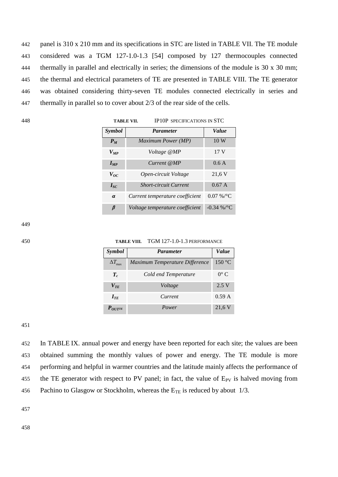panel is 310 x 210 mm and its specifications in STC are listed in [TABLE VII. T](#page-18-0)he TE module considered was a TGM 127-1.0-1.3 [\[54\]](#page-24-11) composed by 127 thermocouples connected thermally in parallel and electrically in series; the dimensions of the module is 30 x 30 mm; the thermal and electrical parameters of TE are presented in [TABLE VIII. T](#page-18-1)he TE generator was obtained considering thirty-seven TE modules connected electrically in series and thermally in parallel so to cover about 2/3 of the rear side of the cells.

<span id="page-18-0"></span>

| 448 | <b>TABLE VII.</b> |                                 | <b>IP10P SPECIFICATIONS IN STC</b> |  |  |
|-----|-------------------|---------------------------------|------------------------------------|--|--|
|     | <i>Symbol</i>     | <b>Parameter</b>                | Value                              |  |  |
|     | $P_M$             | Maximum Power (MP)              | 10W                                |  |  |
|     | $V_{MP}$          | Voltage @MP                     | 17 <sub>V</sub>                    |  |  |
|     | $I_{MP}$          | Current@MP                      | 0.6A                               |  |  |
|     | $V_{OC}$          | Open-circuit Voltage            | 21,6 V                             |  |  |
|     | $I_{SC}$          | <b>Short-circuit Current</b>    | 0.67A                              |  |  |
|     | $\alpha$          | Current temperature coefficient | $0.07\%$ /°C                       |  |  |
|     | $\beta$           | Voltage temperature coefficient | $-0.34\%$ /°C                      |  |  |

449

<span id="page-18-1"></span>

450 **TABLE VIII.** TGM 127-1.0-1.3 PERFORMANCE

| <b>Symbol</b>        | <b>Parameter</b>               | Value         |
|----------------------|--------------------------------|---------------|
| $\Delta T_{\rm max}$ | Maximum Temperature Difference | 150 °C        |
| $T_c$                | Cold end Temperature           | $0^{\circ}$ C |
| $V_{\mathit{TE}}$    | Voltage                        | 2.5 V         |
| $I_{TF}$             | Current                        | 0.59 A        |
| $P_{OUTTE}$          | Power                          | 21.6 V        |

451

452 In TABLE IX. annual power and energy have been reported for each site; the values are been 453 obtained summing the monthly values of power and energy. The TE module is more 454 performing and helpful in warmer countries and the latitude mainly affects the performance of 455 the TE generator with respect to PV panel; in fact, the value of  $E_{PV}$  is halved moving from 456 Pachino to Glasgow or Stockholm, whereas the  $E_{TE}$  is reduced by about 1/3.

457

458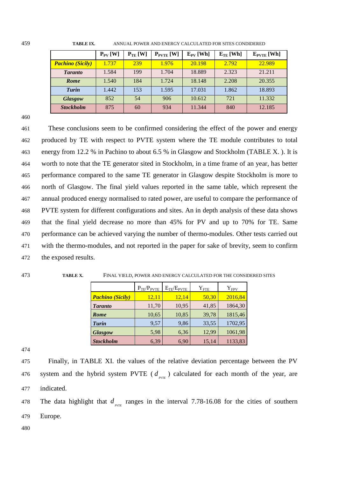| 459<br><b>TABLE IX.</b> | ANNUAL POWER AND ENERGY CALCULATED FOR SITES CONDIDERED |
|-------------------------|---------------------------------------------------------|
|-------------------------|---------------------------------------------------------|

|                         | $P_{PV}$ [W] | $P_{TE}$ [W] | $P_{\text{PVTE}}$ [W] | $E_{PV}$ [Wh] | $E_{TE}$ [Wh] | $E_{\text{PVTE}}$ [Wh] |
|-------------------------|--------------|--------------|-----------------------|---------------|---------------|------------------------|
| <b>Pachino (Sicily)</b> | 1.737        | 239          | 1.976                 | 20.198        | 2.792         | 22.989                 |
| <b>Taranto</b>          | 1.584        | 199          | 1.704                 | 18.889        | 2.323         | 21.211                 |
| <b>Rome</b>             | 1.540        | 184          | 1.724                 | 18.148        | 2.208         | 20.355                 |
| Turin                   | 1.442        | 153          | 1.595                 | 17.031        | 1.862         | 18.893                 |
| <b>Glasgow</b>          | 852          | 54           | 906                   | 10.612        | 721           | 11.332                 |
| <b>Stockholm</b>        | 875          | 60           | 934                   | 11.344        | 840           | 12.185                 |

460

 These conclusions seem to be confirmed considering the effect of the power and energy produced by TE with respect to PVTE system where the TE module contributes to total energy from 12.2 % in Pachino to about 6.5 % in Glasgow and Stockholm [\(TABLE X. \)](#page-19-0). It is worth to note that the TE generator sited in Stockholm, in a time frame of an year, has better performance compared to the same TE generator in Glasgow despite Stockholm is more to north of Glasgow. The final yield values reported in the same table, which represent the annual produced energy normalised to rated power, are useful to compare the performance of PVTE system for different configurations and sites. An in depth analysis of these data shows that the final yield decrease no more than 45% for PV and up to 70% for TE. Same performance can be achieved varying the number of thermo-modules. Other tests carried out with the thermo-modules, and not reported in the paper for sake of brevity, seem to confirm the exposed results.

<span id="page-19-0"></span>473 **TABLE X.** FINAL YIELD, POWER AND ENERGY CALCULATED FOR THE CONSIDERED SITES

|                         | $P_{TE}/P_{PVTE}$ | $E_{TE}/E_{PVTE}$ | ${\rm Y}_{\rm FTE}$ | $Y_{FPV}$ |
|-------------------------|-------------------|-------------------|---------------------|-----------|
| <b>Pachino (Sicily)</b> | 12,11             | 12,14             | 50,30               | 2016,84   |
| <b>Taranto</b>          | 11,70             | 10,95             | 41,85               | 1864,30   |
| Rome                    | 10,65             | 10,85             | 39,78               | 1815,46   |
| <b>Turin</b>            | 9,57              | 9,86              | 33,55               | 1702,95   |
| <b>Glasgow</b>          | 5,98              | 6,36              | 12,99               | 1061,98   |
| <b>Stockholm</b>        | 6,39              | 6,90              | 15,14               | 1133,83   |

474

475 Finally, in [TABLE XI. t](#page-20-0)he values of the relative deviation percentage between the PV 476 system and the hybrid system PVTE ( $d_{\text{max}}$ ) calculated for each month of the year, are 477 indicated.

The data highlight that  $d_{\text{over}}$  ranges in the interval 7.78-16.08 for the cities of southern 479 Europe.

480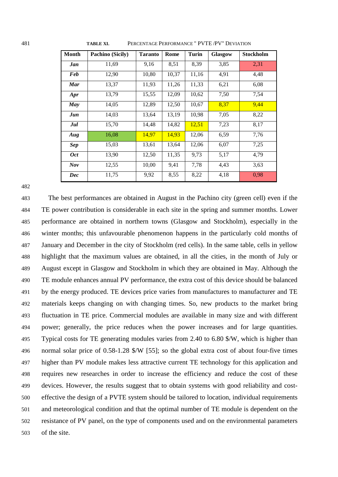| <b>Month</b> | Pachino (Sicily) | <b>Taranto</b> | Rome  | Turin | <b>Glasgow</b> | <b>Stockholm</b> |
|--------------|------------------|----------------|-------|-------|----------------|------------------|
| Jan          | 11,69            | 9,16           | 8,51  | 8,39  | 3,85           | 2,31             |
| <b>Feb</b>   | 12,90            | 10,80          | 10,37 | 11,16 | 4,91           | 4,48             |
| <b>Mar</b>   | 13,37            | 11,93          | 11,26 | 11,33 | 6,21           | 6,08             |
| Apr          | 13,79            | 15,55          | 12,09 | 10,62 | 7,50           | 7,54             |
| May          | 14,05            | 12,89          | 12,50 | 10,67 | 8,37           | 9,44             |
| Jun          | 14,03            | 13,64          | 13,19 | 10,98 | 7,05           | 8,22             |
| Jul          | 15,70            | 14,48          | 14,82 | 12,51 | 7,23           | 8,17             |
| Aug          | 16,08            | 14,97          | 14,93 | 12,06 | 6,59           | 7,76             |
| <b>Sep</b>   | 15,03            | 13,61          | 13,64 | 12,06 | 6,07           | 7,25             |
| <b>Oct</b>   | 13,90            | 12,50          | 11,35 | 9,73  | 5,17           | 4,79             |
| Nov          | 12,55            | 10,00          | 9,41  | 7,78  | 4,43           | 3,63             |
| Dec          | 11,75            | 9,92           | 8,55  | 8,22  | 4,18           | 0,98             |

<span id="page-20-0"></span>**TABLE XI.** PERCENTAGE PERFORMANCE " PVTE /PV" DEVIATION

 The best performances are obtained in August in the Pachino city (green cell) even if the TE power contribution is considerable in each site in the spring and summer months. Lower performance are obtained in northern towns (Glasgow and Stockholm), especially in the winter months; this unfavourable phenomenon happens in the particularly cold months of January and December in the city of Stockholm (red cells). In the same table, cells in yellow highlight that the maximum values are obtained, in all the cities, in the month of July or August except in Glasgow and Stockholm in which they are obtained in May. Although the TE module enhances annual PV performance, the extra cost of this device should be balanced by the energy produced. TE devices price varies from manufactures to manufacturer and TE materials keeps changing on with changing times. So, new products to the market bring fluctuation in TE price. Commercial modules are available in many size and with different power; generally, the price reduces when the power increases and for large quantities. Typical costs for TE generating modules varies from 2.40 to 6.80 \$/W, which is higher than normal solar price of 0.58-1.28 \$/W [\[55\];](#page-24-12) so the global extra cost of about four-five times higher than PV module makes less attractive current TE technology for this application and requires new researches in order to increase the efficiency and reduce the cost of these devices. However, the results suggest that to obtain systems with good reliability and cost- effective the design of a PVTE system should be tailored to location, individual requirements and meteorological condition and that the optimal number of TE module is dependent on the resistance of PV panel, on the type of components used and on the environmental parameters of the site.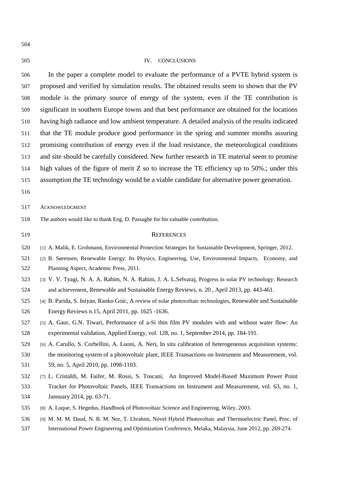IV. CONCLUSIONS In the paper a complete model to evaluate the performance of a PVTE hybrid system is proposed and verified by simulation results. The obtained results seem to shown that the PV module is the primary source of energy of the system, even if the TE contribution is significant in southern Europe towns and that best performance are obtained for the locations having high radiance and low ambient temperature. A detailed analysis of the results indicated that the TE module produce good performance in the spring and summer months assuring promising contribution of energy even if the load resistance, the meteorological conditions and site should be carefully considered. New further research in TE material seem to promise high values of the figure of merit Z so to increase the TE efficiency up to 50%.; under this assumption the TE technology would be a viable candidate for alternative power generation. ACKNOWLEDGMENT The authors would like to thank Eng. D. Passaghe for his valuable contribution. REFERENCES [1] A. Malik, E. Grohmann, Environmental Protection Strategies for Sustainable Development, Springer, 2012. [2] B. Sørensen, Renewable Energy: Its Physics, Engineering, Use, Environmental Impacts, Economy, and Planning Aspect, Academic Press, 2011. [3] V. V. Tyagi, N. A. A. Rahim, N. A. Rahim, J. A. L.Selvaraj, Progress in solar PV technology: Research and achievement, Renewable and Sustainable Energy Reviews, n. 20 , April 2013, pp. 443-461. [4] B. Parida, S. Iniyan, Ranko Goic, A review of solar photovoltaic technologies, Renewable and Sustainable Energy Reviews n.15, April 2011, pp. 1625 -1636. [5] A. Gaur, G.N. Tiwari, Performance of a-Si thin film PV modules with and without water flow: An experimental validation, Applied Energy, vol. 128, no. 1, September 2014, pp. 184-191. [6] A. Carullo, S. Corbellini, A. Luoni, A. Neri, In situ calibration of heterogeneous acquisition systems: the monitoring system of a photovoltaic plant, IEEE Transactions on Instrument and Measurement, vol. 59, no. 5, April 2010, pp. 1098-1103. [7] L. Cristaldi, M. [Faifer, M.](http://ieeexplore.ieee.org/search/searchresult.jsp?searchWithin=p_Authors:.QT.Faifer,%20M..QT.&newsearch=true) Rossi, S. Toscani, [An Improved Model-Based Maximum Power Point](http://ieeexplore.ieee.org/xpl/articleDetails.jsp?tp=&arnumber=6587485&sortType%3Ddesc_p_Publication_Year%26matchBoolean%3Dtrue%26searchField%3DSearch_All%26queryText%3D%28%28p_Authors%3Acristaldi%29+AND+p_ISSN%3A0018-9456%29) 

- <span id="page-21-6"></span><span id="page-21-5"></span><span id="page-21-4"></span><span id="page-21-3"></span><span id="page-21-2"></span><span id="page-21-1"></span><span id="page-21-0"></span> [Tracker for Photovoltaic Panels, IEEE Transactions on Instrument and Measurement, vol. 63, no. 1,](http://ieeexplore.ieee.org/xpl/articleDetails.jsp?tp=&arnumber=6587485&sortType%3Ddesc_p_Publication_Year%26matchBoolean%3Dtrue%26searchField%3DSearch_All%26queryText%3D%28%28p_Authors%3Acristaldi%29+AND+p_ISSN%3A0018-9456%29)  [Jannuary 2014, pp. 63-71.](http://ieeexplore.ieee.org/xpl/articleDetails.jsp?tp=&arnumber=6587485&sortType%3Ddesc_p_Publication_Year%26matchBoolean%3Dtrue%26searchField%3DSearch_All%26queryText%3D%28%28p_Authors%3Acristaldi%29+AND+p_ISSN%3A0018-9456%29)
- <span id="page-21-7"></span>[8] A. Luque, S. Hegedus, Handbook of Photovoltaic Science and Engineering, Wiley, 2003.
- <span id="page-21-8"></span> [9] M. M. M. Daud, N. B. M. Nor, T. I.brahim, Novel Hybrid Photovoltaic and Thermoelectric Panel, Proc. of International Power Engineering and Optimization Conference, Melaka, Malaysia, June 2012, pp. 269-274.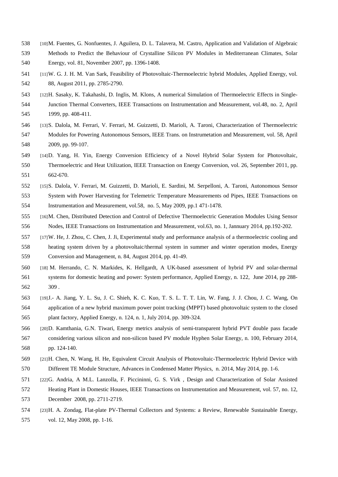- <span id="page-22-0"></span> [10]M. Fuentes, G. Nonfuentes, J. Aguilera, D. L. Talavera, M. Castro, Application and Validation of Algebraic Methods to Predict the Behaviour of Crystalline Silicon PV Modules in Mediterranean Climates, Solar Energy, vol. 81, November 2007, pp. 1396-1408.
- <span id="page-22-1"></span> [11]W. G. J. H. M. Van Sark, Feasibility of Photovoltaic-Thermoelectric hybrid Modules, Applied Energy, vol. 88, August 2011, pp. 2785-2790.
- <span id="page-22-2"></span> [12]H. Sasaky, K. Takahashi, D. Inglis, M. Klons, A numerical Simulation of Thermoelectric Effects in Single- Junction Thermal Converters, IEEE Transactions on Instrumentation and Measurement, vol.48, no. 2, April 1999, pp. 408-411.
- <span id="page-22-3"></span> [13]S. Dalola, M. Ferrari, V. Ferrari, M. Guizzetti, D. Marioli, A. Taroni, Characterization of Thermoelectric Modules for Powering Autonomous Sensors, IEEE Trans. on Instrumetation and Measurement, vol. 58, April 2009, pp. 99-107.
- <span id="page-22-6"></span> [14]D. Yang, H. Yin, Energy Conversion Efficiency of a Novel Hybrid Solar System for Photovoltaic, Thermoelectric and Heat Utilization, IEEE Transaction on Energy Conversion, vol. 26, September 2011, pp. 662-670.
- [15]S. Dalola, V. Ferrari, M. Guizzetti, D. Marioli, E. Sardini, M. Serpelloni, A. Taroni, Autonomous Sensor System with Power Harvesting for Telemetric Temperature Measurements od Pipes, IEEE Transactions on Instrumentation and Measurement, vol.58, no. 5, May 2009, pp.1 471-1478.
- <span id="page-22-4"></span> [16]M. Chen, Distributed Detection and Control of Defective Thermoelectric Generation Modules Using Sensor Nodes, IEEE Transactions on Instrumentation and Measurement, vol.63, no. 1, Jannuary 2014, pp.192-202.
- [17]W. He, J. Zhou, C. Chen, J. Ji, Experimental study and performance analysis of a thermoelectric cooling and heating system driven by a photovoltaic/thermal system in summer and winter operation modes, Energy Conversion and Management, n. 84, August 2014, pp. 41-49.
- [18] M. Herrando, C. N. Markides, K. Hellgardt, A UK-based assessment of hybrid PV and solar-thermal systems for domestic heating and power: System performance, Applied Energy, n. 122, June 2014, pp 288- 309 .
- [19]J.- A. Jiang, Y. L. Su, J. C. Shieh, K. C. Kuo, T. S. L. T. T. Lin, W. Fang, J. J. Chou, J. C. Wang, On application of a new hybrid maximum power point tracking (MPPT) based photovoltaic system to the closed plant factory, Applied Energy, n. 124, n. 1, July 2014, pp. 309-324.
- [20]D. Kamthania, G.N. Tiwari, Energy metrics analysis of semi-transparent hybrid PVT double pass facade considering various silicon and non-silicon based PV module Hyphen Solar Energy, n. 100, February 2014, pp. 124-140.
- [21]H. Chen, N. Wang, H. He, Equivalent Circuit Analysis of Photovoltaic-Thermoelectric Hybrid Device with Different TE Module Structure, Advances in Condensed Matter Physics, n. 2014, May 2014, pp. 1-6.
- [22]G. Andria, A M.L. Lanzolla, F. Piccininni, G. S. Virk , Design and Characterization of Solar Assisted Heating Plant in Domestic Houses, IEEE Transactions on Instrumentation and Measurement, vol. 57, no. 12, December 2008, pp. 2711-2719.
- <span id="page-22-5"></span> [23]H. A. Zondag, Flat-plate PV-Thermal Collectors and Systems: a Review, Renewable Sustainable Energy, vol. 12, May 2008, pp. 1-16.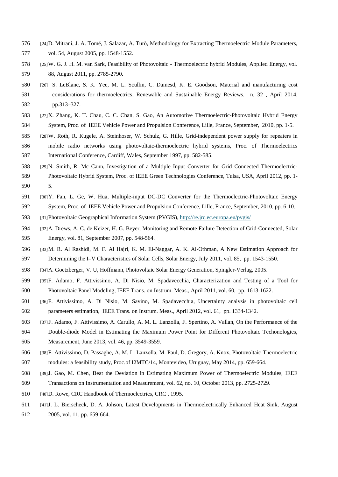- <span id="page-23-0"></span> [24]D. Mitrani, J. A. Tomé, J. Salazar, A. Turò, Methodology for Extracting Thermoelectric Module Parameters, vol. 54, August 2005, pp. 1548-1552.
- <span id="page-23-1"></span> [25]W. G. J. H. M. van Sark, Feasibility of Photovoltaic - Thermoelectric hybrid Modules, Applied Energy, vol. 88, August 2011, pp. 2785-2790.
- <span id="page-23-7"></span> [26] S. LeBlanc, S. K. Yee, M. L. Scullin, C. Damesd, K. E. Goodson, Material and manufacturing cost considerations for thermoelectrics, Renewable and Sustainable Energy Reviews, n. 32 , April 2014, pp.313–327.
- <span id="page-23-2"></span> [27]X. Zhang, K. T. Chau, C. C. Chan, S. Gao, An Automotive Thermoelectric-Photovoltaic Hybrid Energy System, Proc. of IEEE Vehicle Power and Propulsion Conference, Lille, France, September, 2010, pp. 1-5.
- <span id="page-23-3"></span> [28]W. Roth, R. Kugele, A. Steinhoser, W. Schulz, G. Hille, Grid-independent power supply for repeaters in mobile radio networks using photovoltaic-thermoelectric hybrid systems, Proc. of Thermoelectrics International Conference, Cardiff, Wales, September 1997, pp. 582-585.
- <span id="page-23-4"></span> [29]N. Smith, R. Mc Cann, Investigation of a Multiple Input Converter for Grid Connected Thermoelectric- Photovoltaic Hybrid System, Proc. of IEEE Green Technologies Conference, Tulsa, USA, April 2012, pp. 1- 5.
- <span id="page-23-5"></span> [30]Y. Fan, L. Ge, W. Hua, Multiple-input DC-DC Converter for the Thermoelectric-Photovoltaic Energy System, Proc. of IEEE Vehicle Power and Propulsion Conference, Lille, France, September, 2010, pp. 6-10.
- <span id="page-23-6"></span>[31]Photovoltaic Geographical Information System (PVGIS),<http://re.jrc.ec.europa.eu/pvgis/>
- <span id="page-23-8"></span> [32]A. Drews, A. C. de Keizer, H. G. Beyer, Monitoring and Remote Failure Detection of Grid-Connected, Solar Energy, vol. 81, September 2007, pp. 548-564.
- <span id="page-23-9"></span> [33]M. R. Al Rashidi, M. F. Al Hajri, K. M. El-Naggar, A. K. Al-Othman, A New Estimation Approach for Determining the I–V Characteristics of Solar Cells, Solar Energy, July 2011, vol. 85, pp. 1543-1550.
- <span id="page-23-10"></span>[34]A. Goetzberger, V. U, Hoffmann, Photovoltaic Solar Energy Generation, Spingler-Verlag, 2005.
- <span id="page-23-11"></span> [35]F. Adamo, F. Attivissimo, A. Di Nisio, M. Spadavecchia, Characterization and Testing of a Tool for Photovoltaic Panel Modeling, IEEE Trans. on Instrum. Meas., April 2011, vol. 60, pp. 1613-1622.
- <span id="page-23-12"></span> [36]F. Attivissimo, A. Di Nisio, M. Savino, M. Spadavecchia, Uncertainty analysis in photovoltaic cell parameters estimation, IEEE Trans. on Instrum. Meas., April 2012, vol. 61, pp. 1334-1342.
- <span id="page-23-13"></span> [37]F. Adamo, F. Attivissimo, A. Carullo, A. M. L. Lanzolla, F. Spertino, A. Vallan, On the Performance of the Double-diode Model in Estimating the Maximum Power Point for Different Photovoltaic Techonologies, Measurement, June 2013, vol. 46, pp. 3549-3559.
- <span id="page-23-14"></span> [38]F. Attivissimo, D. Passaghe, A. M. L. Lanzolla, M. Paul, D. Gregory, A. Knox, Photovoltaic-Thermoelectric modules: a feasibility study, Proc.of I2MTC/14, Montevideo, Uruguay, May 2014, pp. 659-664.
- <span id="page-23-15"></span> [39]J. Gao, M. Chen, Beat the Deviation in Estimating Maximum Power of Thermoelectric Modules, IEEE Transactions on Instrumentation and Measurement, vol. 62, no. 10, October 2013, pp. 2725-2729.
- <span id="page-23-16"></span>[40]D. Rowe, CRC Handbook of Thermoelectrics, CRC , 1995.
- <span id="page-23-17"></span>[41]J. L. Bierscheck, D. A. Johson, Latest Developments in Thermoelectrically Enhanced Heat Sink, August
- 2005, vol. 11, pp. 659-664.